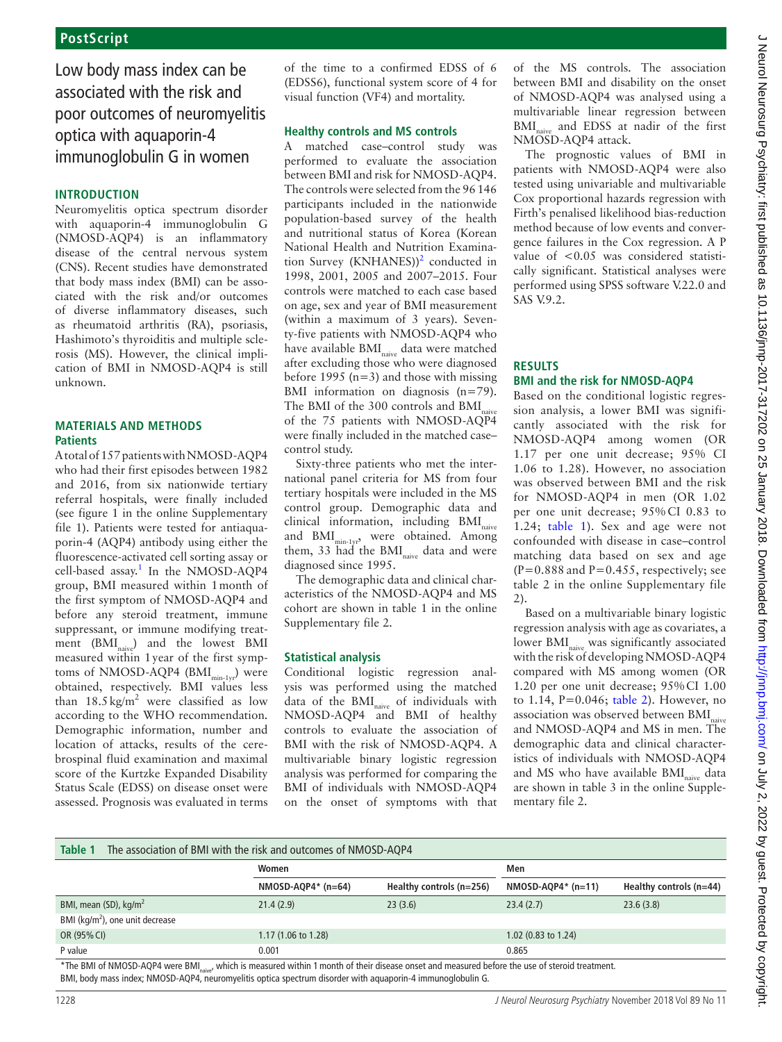# Low body mass index can be associated with the risk and poor outcomes of neuromyelitis optica with aquaporin-4 immunoglobulin G in women

# **Introduction**

Neuromyelitis optica spectrum disorder with aquaporin-4 immunoglobulin G (NMOSD-AQP4) is an inflammatory disease of the central nervous system (CNS). Recent studies have demonstrated that body mass index (BMI) can be associated with the risk and/or outcomes of diverse inflammatory diseases, such as rheumatoid arthritis (RA), psoriasis, Hashimoto's thyroiditis and multiple sclerosis (MS). However, the clinical implication of BMI in NMOSD-AQP4 is still unknown.

# **Materials and methods Patients**

A total of 157 patients with NMOSD-AQP4 who had their first episodes between 1982 and 2016, from six nationwide tertiary referral hospitals, were finally included (see figure 1 in the online [Supplementary](https://dx.doi.org/10.1136/jnnp-2017-317214) [file](https://dx.doi.org/10.1136/jnnp-2017-317214) 1). Patients were tested for antiaquaporin-4 (AQP4) antibody using either the fluorescence-activated cell sorting assay or cell-based assay.<sup>1</sup> In the NMOSD-AQP4 group, BMI measured within 1month of the first symptom of NMOSD-AQP4 and before any steroid treatment, immune suppressant, or immune modifying treatment (BMI<sub>naive</sub>) and the lowest BMI measured within 1year of the first symptoms of NMOSD-AQP4 (BMI<sub>min-1yr</sub>) were obtained, respectively. BMI values less than  $18.5 \text{ kg/m}^2$  were classified as low according to the WHO recommendation. Demographic information, number and location of attacks, results of the cerebrospinal fluid examination and maximal score of the Kurtzke Expanded Disability Status Scale (EDSS) on disease onset were assessed. Prognosis was evaluated in terms

of the time to a confirmed EDSS of 6 (EDSS6), functional system score of 4 for visual function (VF4) and mortality.

### **Healthy controls and MS controls**

A matched case–control study was performed to evaluate the association between BMI and risk for NMOSD-AQP4. The controls were selected from the 96146 participants included in the nationwide population-based survey of the health and nutritional status of Korea (Korean National Health and Nutrition Examination Survey (KNHANES) $)^2$  conducted in 1998, 2001, 2005 and 2007–2015. Four controls were matched to each case based on age, sex and year of BMI measurement (within a maximum of 3 years). Seventy-five patients with NMOSD-AQP4 who have available BMI<sub>naive</sub> data were matched after excluding those who were diagnosed before 1995 ( $n=3$ ) and those with missing BMI information on diagnosis (n=79). The BMI of the 300 controls and  $\text{BMI}_{\text{native}}$ of the 75 patients with NMOSD-AQP4 were finally included in the matched case– control study.

Sixty-three patients who met the international panel criteria for MS from four tertiary hospitals were included in the MS control group. Demographic data and clinical information, including BMI<sub>naive</sub> and BMI<sub>min-1yr</sub>, were obtained. Among them, 33 had the  $BMI<sub>native</sub>$  data and were diagnosed since 1995.

The demographic data and clinical characteristics of the NMOSD-AQP4 and MS cohort are shown in table 1 in the online [Supplementary file 2.](https://dx.doi.org/10.1136/jnnp-2017-317214)

### **Statistical analysis**

Conditional logistic regression analysis was performed using the matched data of the BMI<sub>naive</sub> of individuals with NMOSD-AQP4 and BMI of healthy controls to evaluate the association of BMI with the risk of NMOSD-AQP4. A multivariable binary logistic regression analysis was performed for comparing the BMI of individuals with NMOSD-AQP4 on the onset of symptoms with that of the MS controls. The association between BMI and disability on the onset of NMOSD-AQP4 was analysed using a multivariable linear regression between BMI<sub>naive</sub> and EDSS at nadir of the first NMOSD-AQP4 attack.

The prognostic values of BMI in patients with NMOSD-AQP4 were also tested using univariable and multivariable Cox proportional hazards regression with Firth's penalised likelihood bias-reduction method because of low events and convergence failures in the Cox regression. A P value of <0.05 was considered statistically significant. Statistical analyses were performed using SPSS software V.22.0 and SAS V.9.2.

## **Results BMI and the risk for NMOSD-AQP4**

Based on the conditional logistic regression analysis, a lower BMI was significantly associated with the risk for NMOSD-AQP4 among women (OR 1.17 per one unit decrease; 95% CI 1.06 to 1.28). However, no association was observed between BMI and the risk for NMOSD-AQP4 in men (OR 1.02 per one unit decrease; 95% CI 0.83 to 1.24; table 1). Sex and age were not confounded with disease in case–control matching data based on sex and age  $(P=0.888$  and  $P=0.455$ , respectively; see table 2 in the online [Supplementary file](https://dx.doi.org/10.1136/jnnp-2017-317214) [2](https://dx.doi.org/10.1136/jnnp-2017-317214)).

Based on a multivariable binary logistic regression analysis with age as covariates, a lower BMI<sub>naive</sub> was significantly associated with the risk of developing NMOSD-AQP4 compared with MS among women (OR 1.20 per one unit decrease; 95%CI 1.00 to 1.14, P=0.046; table 2). However, no association was observed between BMI<sub>nai</sub> and NMOSD-AQP4 and MS in men. The demographic data and clinical characteristics of individuals with NMOSD-AQP4 and MS who have available  $BMI_{nive}$  data are shown in table 3 in the online [Supple](https://dx.doi.org/10.1136/jnnp-2017-317214)[mentary file 2](https://dx.doi.org/10.1136/jnnp-2017-317214).

| Table 1<br>The association of BMI with the risk and outcomes of NMOSD-AQP4 |                      |                          |                      |                           |  |  |  |  |
|----------------------------------------------------------------------------|----------------------|--------------------------|----------------------|---------------------------|--|--|--|--|
|                                                                            | Women                |                          |                      | Men                       |  |  |  |  |
|                                                                            | $NMOSD-AQP4* (n=64)$ | Healthy controls (n=256) | $NMOSD-AQP4* (n=11)$ | Healthy controls $(n=44)$ |  |  |  |  |
| BMI, mean (SD), kg/m <sup>2</sup>                                          | 21.4(2.9)            | 23(3.6)                  | 23.4(2.7)            | 23.6(3.8)                 |  |  |  |  |
| BMI ( $\text{kg/m}^2$ ), one unit decrease                                 |                      |                          |                      |                           |  |  |  |  |
| OR (95% CI)                                                                | 1.17 (1.06 to 1.28)  |                          | 1.02 (0.83 to 1.24)  |                           |  |  |  |  |
| P value                                                                    | 0.001                |                          | 0.865                |                           |  |  |  |  |
|                                                                            |                      |                          |                      |                           |  |  |  |  |

The BMI of NMOSD-AQP4 were BMI<sub>naive</sub>, which is measured within 1 month of their disease onset and measured before the use of steroid treatment. BMI, body mass index; NMOSD-AQP4, neuromyelitis optica spectrum disorder with aquaporin-4 immunoglobulin G.

J Neurol Neurosurg Psychiatry: first published as 10.11136/jnnp-2017-317202 on 25 January 2018. Downloaded from http://jnnp.bmj.com/on July 2, 2022 by guest. Protected by copyright J Neurol Neurosurg Psychiatry: first published as 10.1136/jnnp-2017-317202 on 25 January 2018. Downloaded from <http://jnnp.bmj.com/> on July 2, 2022 by guest. Protected by copyright.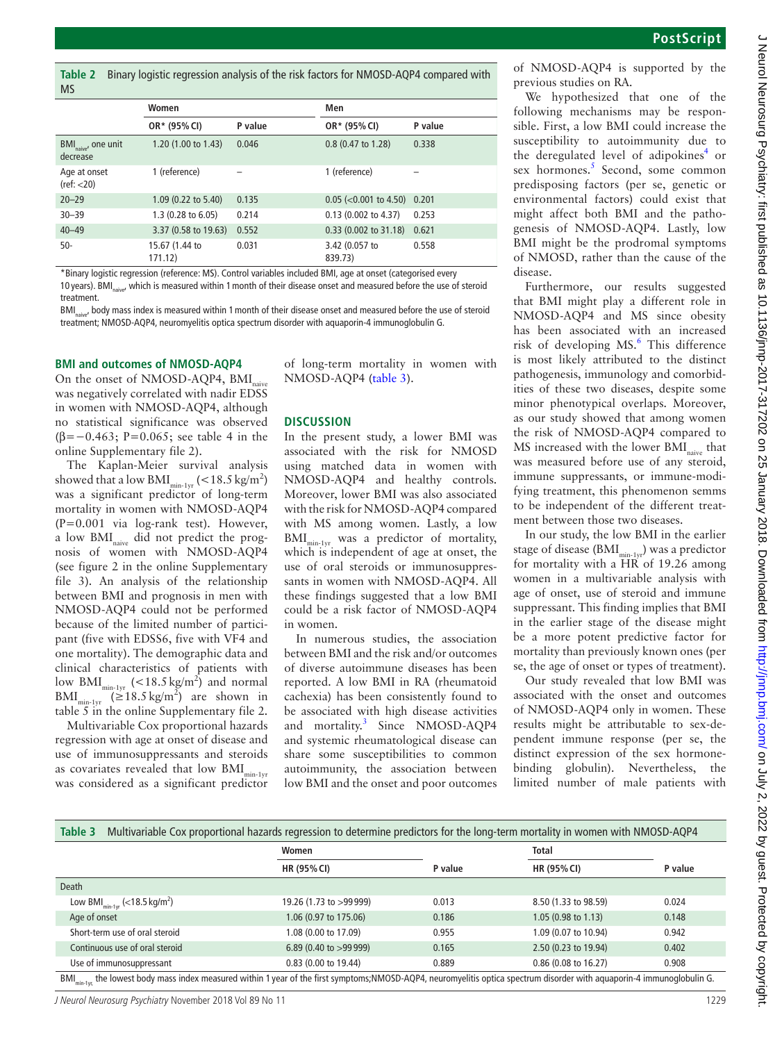**Table 2** Binary logistic regression analysis of the risk factors for NMOSD-AQP4 compared with MS

|                                             | Women                        |         | Men                           |         |
|---------------------------------------------|------------------------------|---------|-------------------------------|---------|
|                                             | OR* (95% CI)                 | P value | OR* (95% CI)                  | P value |
| BMI <sub>naive</sub> , one unit<br>decrease | 1.20 (1.00 to 1.43)          | 0.046   | 0.8 (0.47 to 1.28)            | 0.338   |
| Age at onset<br>(ref: < 20)                 | 1 (reference)                |         | 1 (reference)                 |         |
| $20 - 29$                                   | 1.09 (0.22 to 5.40)          | 0.135   | $0.05$ (<0.001 to 4.50) 0.201 |         |
| $30 - 39$                                   | $1.3(0.28 \text{ to } 6.05)$ | 0.214   | $0.13$ (0.002 to 4.37)        | 0.253   |
| $40 - 49$                                   | 3.37 (0.58 to 19.63)         | 0.552   | 0.33 (0.002 to 31.18)         | 0.621   |
| $50-$                                       | 15.67 (1.44 to<br>171.12)    | 0.031   | 3.42 (0.057 to<br>839.73)     | 0.558   |

\*Binary logistic regression (reference: MS). Control variables included BMI, age at onset (categorised every 10 years). BMI<sub>naive</sub>, which is measured within 1 month of their disease onset and measured before the use of steroid treatment.

BMI<sub>naive</sub>, body mass index is measured within 1 month of their disease onset and measured before the use of steroid treatment; NMOSD-AQP4, neuromyelitis optica spectrum disorder with aquaporin-4 immunoglobulin G.

#### **BMI and outcomes of NMOSD-AQP4**

On the onset of NMOSD-AQP4, BMI was negatively correlated with nadir EDSS in women with NMOSD-AQP4, although no statistical significance was observed (β=−0.463; P=0.065; see table 4 in the online [Supplementary file 2\)](https://dx.doi.org/10.1136/jnnp-2017-317214).

The Kaplan-Meier survival analysis showed that a low BMI $_{\text{min-1yr}}$  (<18.5 kg/m<sup>2</sup>) was a significant predictor of long-term mortality in women with NMOSD-AQP4 (P=0.001 via log-rank test). However, a low BMI<sub>naive</sub> did not predict the prognosis of women with NMOSD-AQP4 (see figure 2 in the online [Supplementary](https://dx.doi.org/10.1136/jnnp-2017-317214) [file 3\)](https://dx.doi.org/10.1136/jnnp-2017-317214). An analysis of the relationship between BMI and prognosis in men with NMOSD-AQP4 could not be performed because of the limited number of participant (five with EDSS6, five with VF4 and one mortality). The demographic data and clinical characteristics of patients with low BMI<sub>min-1yr</sub> (<18.5 kg/m<sup>2</sup>) and normal  $BMI_{\text{min-1yr}}$  ( $\geq 18.5 \text{ kg/m}^2$ ) are shown in table 5 in the online [Supplementary file 2.](https://dx.doi.org/10.1136/jnnp-2017-317214)

Multivariable Cox proportional hazards regression with age at onset of disease and use of immunosuppressants and steroids as covariates revealed that low  $BMI_{min-1vr}$ was considered as a significant predictor of long-term mortality in women with NMOSD-AQP4 (table 3).

#### **Discussion**

In the present study, a lower BMI was associated with the risk for NMOSD using matched data in women with NMOSD-AQP4 and healthy controls. Moreover, lower BMI was also associated with the risk for NMOSD-AQP4 compared with MS among women. Lastly, a low BMI<sub>min-1vr</sub> was a predictor of mortality, which is independent of age at onset, the use of oral steroids or immunosuppressants in women with NMOSD-AQP4. All these findings suggested that a low BMI could be a risk factor of NMOSD-AQP4 in women.

In numerous studies, the association between BMI and the risk and/or outcomes of diverse autoimmune diseases has been reported. A low BMI in RA (rheumatoid cachexia) has been consistently found to be associated with high disease activities and mortality.<sup>3</sup> Since NMOSD-AQP4 and systemic rheumatological disease can share some susceptibilities to common autoimmunity, the association between low BMI and the onset and poor outcomes

of NMOSD-AQP4 is supported by the previous studies on RA.

We hypothesized that one of the following mechanisms may be responsible. First, a low BMI could increase the susceptibility to autoimmunity due to the deregulated level of adipokines<sup>4</sup> or sex hormones.<sup>5</sup> Second, some common predisposing factors (per se, genetic or environmental factors) could exist that might affect both BMI and the pathogenesis of NMOSD-AQP4. Lastly, low BMI might be the prodromal symptoms of NMOSD, rather than the cause of the disease.

Furthermore, our results suggested that BMI might play a different role in NMOSD-AQP4 and MS since obesity has been associated with an increased risk of developing MS.<sup>6</sup> This difference is most likely attributed to the distinct pathogenesis, immunology and comorbidities of these two diseases, despite some minor phenotypical overlaps. Moreover, as our study showed that among women the risk of NMOSD-AQP4 compared to  $MS$  increased with the lower  $BMI<sub>nimes</sub>$  that was measured before use of any steroid, immune suppressants, or immune-modifying treatment, this phenomenon semms to be independent of the different treatment between those two diseases.

In our study, the low BMI in the earlier stage of disease ( $\text{BMI}_{\text{min-1vr}}$ ) was a predictor for mortality with a HR of 19.26 among women in a multivariable analysis with age of onset, use of steroid and immune suppressant. This finding implies that BMI in the earlier stage of the disease might be a more potent predictive factor for mortality than previously known ones (per se, the age of onset or types of treatment).

Our study revealed that low BMI was associated with the onset and outcomes of NMOSD-AQP4 only in women. These results might be attributable to sex-dependent immune response (per se, the distinct expression of the sex hormonebinding globulin). Nevertheless, the limited number of male patients with

| Table 3<br>Multivariable Cox proportional hazards regression to determine predictors for the long-term mortality in women with NMOSD-AQP4                                            |                         |         |                      |         |  |  |  |  |
|--------------------------------------------------------------------------------------------------------------------------------------------------------------------------------------|-------------------------|---------|----------------------|---------|--|--|--|--|
|                                                                                                                                                                                      | Women                   |         | <b>Total</b>         |         |  |  |  |  |
|                                                                                                                                                                                      | HR (95% CI)             | P value | HR (95% CI)          | P value |  |  |  |  |
| <b>Death</b>                                                                                                                                                                         |                         |         |                      |         |  |  |  |  |
| Low BMI $_{min-1yr}$ (<18.5 kg/m <sup>2</sup> )                                                                                                                                      | 19.26 (1.73 to >99 999) | 0.013   | 8.50 (1.33 to 98.59) | 0.024   |  |  |  |  |
| Age of onset                                                                                                                                                                         | 1.06 (0.97 to 175.06)   | 0.186   | 1.05 (0.98 to 1.13)  | 0.148   |  |  |  |  |
| Short-term use of oral steroid                                                                                                                                                       | 1.08 (0.00 to 17.09)    | 0.955   | 1.09 (0.07 to 10.94) | 0.942   |  |  |  |  |
| Continuous use of oral steroid                                                                                                                                                       | 6.89 (0.40 to >99999)   | 0.165   | 2.50 (0.23 to 19.94) | 0.402   |  |  |  |  |
| Use of immunosuppressant                                                                                                                                                             | 0.83 (0.00 to 19.44)    | 0.889   | 0.86 (0.08 to 16.27) | 0.908   |  |  |  |  |
| BMI <sub>min-1vc</sub> the lowest body mass index measured within 1 year of the first symptoms;NMOSD-AQP4, neuromyelitis optica spectrum disorder with aquaporin-4 immunoqlobulin G. |                         |         |                      |         |  |  |  |  |